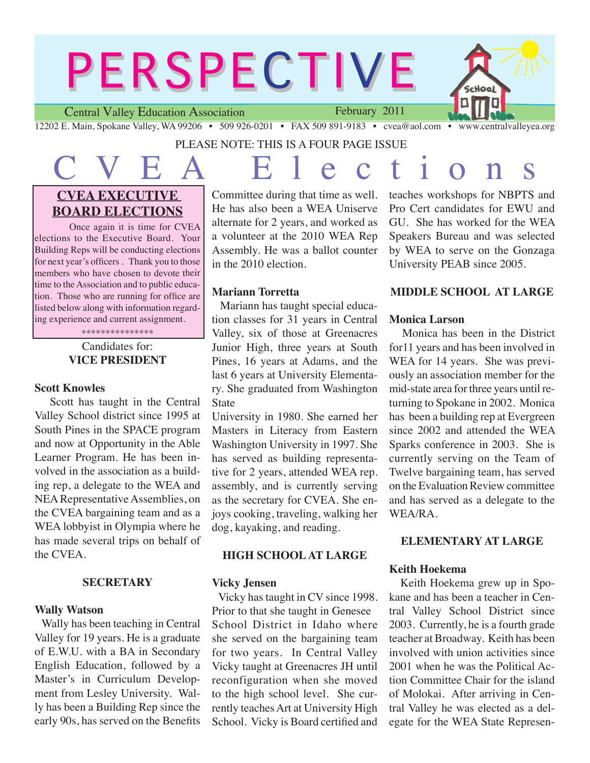# **PERSPECTIVE**

Central Valley Education Association

February 2011



12202 E. Main, Spokane Valley, WA 99206 • 509 926-0201 • FAX 509 891-9183 • cvea@aol.com • www.centralvalleyea.org

# PLEASE NOTE: THIS IS A FOUR PAGE ISSUE

C V E A E l <sup>e</sup> <sup>c</sup> t i <sup>o</sup> <sup>n</sup> <sup>s</sup>

# **CVEA EXECUTIVE BOARD ELECTIONS**

Once again it is time for CVEA elections to the Executive Board. Your Building Reps will be conducting elections for next year's officers . Thank you to those members who have chosen to devote their time to the Association and to public education. Those who are running for office are listed below along with information regarding experience and current assignment. \*\*\*\*\*\*\*\*\*\*\*\*\*\*\*

# Candidates for: **VICE PRESIDENT**

# **Scott Knowles**

 Scott has taught in the Central Valley School district since 1995 at South Pines in the SPACE program and now at Opportunity in the Able Learner Program. He has been involved in the association as a building rep, a delegate to the WEA and NEA Representative Assemblies, on the CVEA bargaining team and as a WEA lobbyist in Olympia where he has made several trips on behalf of the CVEA.

# **SECRETARY**

# **Wally Watson**

 Wally has been teaching in Central Valley for 19 years. He is a graduate of E.W.U. with a BA in Secondary English Education, followed by a Master's in Curriculum Development from Lesley University. Wally has been a Building Rep since the early 90s, has served on the Benefits

Committee during that time as well. He has also been a WEA Uniserve alternate for 2 years, and worked as a volunteer at the 2010 WEA Rep Assembly. He was a ballot counter in the 2010 election.

# **Mariann Torretta**

 Mariann has taught special education classes for 31 years in Central Valley, six of those at Greenacres Junior High, three years at South Pines, 16 years at Adams, and the last 6 years at University Elementary. She graduated from Washington State

University in 1980. She earned her Masters in Literacy from Eastern Washington University in 1997. She has served as building representative for 2 years, attended WEA rep. assembly, and is currently serving as the secretary for CVEA. She enjoys cooking, traveling, walking her dog, kayaking, and reading.

# **HIGH SCHOOL AT LARGE**

# **Vicky Jensen**

 Vicky has taught in CV since 1998. Prior to that she taught in Genesee School District in Idaho where she served on the bargaining team for two years. In Central Valley Vicky taught at Greenacres JH until reconfiguration when she moved to the high school level. She currently teaches Art at University High School. Vicky is Board certified and teaches workshops for NBPTS and Pro Cert candidates for EWU and GU. She has worked for the WEA Speakers Bureau and was selected by WEA to serve on the Gonzaga University PEAB since 2005.

# **MIDDLE SCHOOL AT LARGE**

# **Monica Larson**

 Monica has been in the District for11 years and has been involved in WEA for 14 years. She was previously an association member for the mid-state area for three years until returning to Spokane in 2002. Monica has been a building rep at Evergreen since 2002 and attended the WEA Sparks conference in 2003. She is currently serving on the Team of Twelve bargaining team, has served on the Evaluation Review committee and has served as a delegate to the WEA/RA.

# **ELEMENTARY AT LARGE**

# **Keith Hoekema**

 Keith Hoekema grew up in Spokane and has been a teacher in Central Valley School District since 2003. Currently, he is a fourth grade teacher at Broadway. Keith has been involved with union activities since 2001 when he was the Political Action Committee Chair for the island of Molokai. After arriving in Central Valley he was elected as a delegate for the WEA State Represen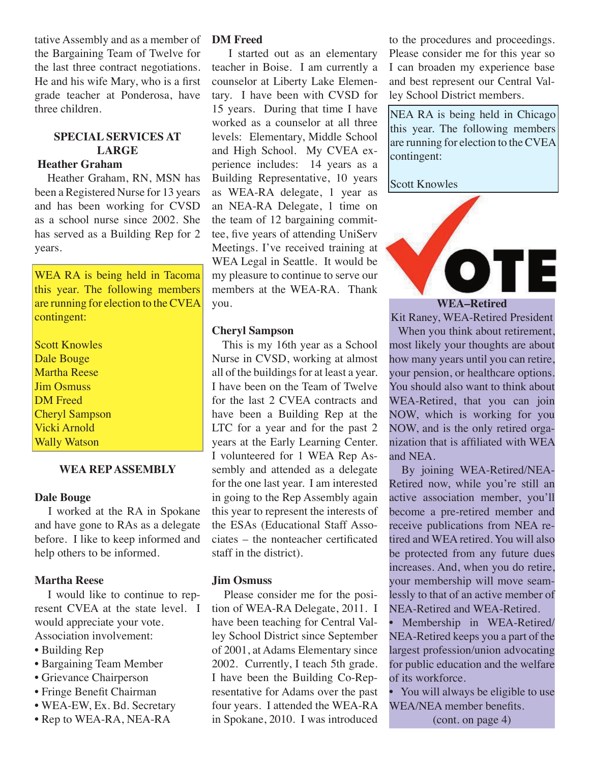tative Assembly and as a member of the Bargaining Team of Twelve for the last three contract negotiations. He and his wife Mary, who is a first grade teacher at Ponderosa, have three children.

# **SPECIAL SERVICES AT LARGE**

# **Heather Graham**

 Heather Graham, RN, MSN has been a Registered Nurse for 13 years and has been working for CVSD as a school nurse since 2002. She has served as a Building Rep for 2 years.

WEA RA is being held in Tacoma this year. The following members are running for election to the CVEA contingent:

Scott Knowles Dale Bouge Martha Reese Jim Osmuss DM Freed Cheryl Sampson Vicki Arnold Wally Watson

#### **WEA REP ASSEMBLY**

#### **Dale Bouge**

 I worked at the RA in Spokane and have gone to RAs as a delegate before. I like to keep informed and help others to be informed.

#### **Martha Reese**

 I would like to continue to represent CVEA at the state level. I would appreciate your vote. Association involvement:

- Building Rep
- Bargaining Team Member
- Grievance Chairperson
- Fringe Benefit Chairman
- WEA-EW, Ex. Bd. Secretary
- Rep to WEA-RA, NEA-RA

### **DM Freed**

 I started out as an elementary teacher in Boise. I am currently a counselor at Liberty Lake Elementary. I have been with CVSD for 15 years. During that time I have worked as a counselor at all three levels: Elementary, Middle School and High School. My CVEA experience includes: 14 years as a Building Representative, 10 years as WEA-RA delegate, 1 year as an NEA-RA Delegate, 1 time on the team of 12 bargaining committee, five years of attending UniServ Meetings. I've received training at WEA Legal in Seattle. It would be my pleasure to continue to serve our members at the WEA-RA. Thank you.

## **Cheryl Sampson**

 This is my 16th year as a School Nurse in CVSD, working at almost all of the buildings for at least a year. I have been on the Team of Twelve for the last 2 CVEA contracts and have been a Building Rep at the LTC for a year and for the past 2 years at the Early Learning Center. I volunteered for 1 WEA Rep Assembly and attended as a delegate for the one last year. I am interested in going to the Rep Assembly again this year to represent the interests of the ESAs (Educational Staff Associates – the nonteacher certificated staff in the district).

#### **Jim Osmuss**

 Please consider me for the position of WEA-RA Delegate, 2011. I have been teaching for Central Valley School District since September of 2001, at Adams Elementary since 2002. Currently, I teach 5th grade. I have been the Building Co-Representative for Adams over the past four years. I attended the WEA-RA in Spokane, 2010. I was introduced

to the procedures and proceedings. Please consider me for this year so I can broaden my experience base and best represent our Central Valley School District members.

NEA RA is being held in Chicago this year. The following members are running for election to the CVEA contingent:

Scott Knowles



**WEA–Retired**

Kit Raney, WEA-Retired President When you think about retirement, most likely your thoughts are about how many years until you can retire, your pension, or healthcare options. You should also want to think about WEA-Retired, that you can join NOW, which is working for you NOW, and is the only retired organization that is affiliated with WEA and NEA.

 By joining WEA-Retired/NEA-Retired now, while you're still an active association member, you'll become a pre-retired member and receive publications from NEA retired and WEA retired. You will also be protected from any future dues increases. And, when you do retire, your membership will move seamlessly to that of an active member of NEA-Retired and WEA-Retired.

• Membership in WEA-Retired/ NEA-Retired keeps you a part of the largest profession/union advocating for public education and the welfare of its workforce.

• You will always be eligible to use WEA/NEA member benefits.

(cont. on page 4)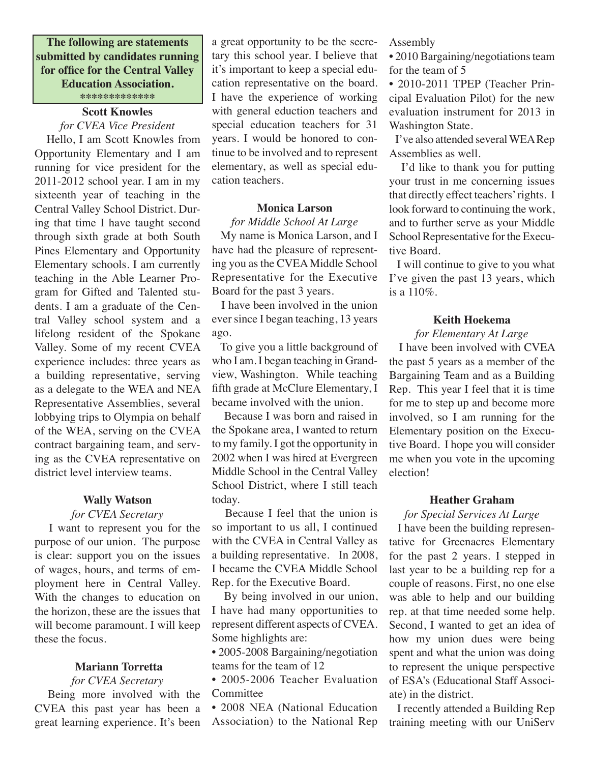**The following are statements submitted by candidates running for office for the Central Valley Education Association. \*\*\*\*\*\*\*\*\*\*\*\*\***

#### **Scott Knowles**

#### *for CVEA Vice President*

 Hello, I am Scott Knowles from Opportunity Elementary and I am running for vice president for the 2011-2012 school year. I am in my sixteenth year of teaching in the Central Valley School District. During that time I have taught second through sixth grade at both South Pines Elementary and Opportunity Elementary schools. I am currently teaching in the Able Learner Program for Gifted and Talented students. I am a graduate of the Central Valley school system and a lifelong resident of the Spokane Valley. Some of my recent CVEA experience includes: three years as a building representative, serving as a delegate to the WEA and NEA Representative Assemblies, several lobbying trips to Olympia on behalf of the WEA, serving on the CVEA contract bargaining team, and serving as the CVEA representative on district level interview teams.

#### **Wally Watson**

#### *for CVEA Secretary*

 I want to represent you for the purpose of our union. The purpose is clear: support you on the issues of wages, hours, and terms of employment here in Central Valley. With the changes to education on the horizon, these are the issues that will become paramount. I will keep these the focus.

#### **Mariann Torretta**

*for CVEA Secretary* Being more involved with the CVEA this past year has been a great learning experience. It's been

a great opportunity to be the secretary this school year. I believe that it's important to keep a special education representative on the board. I have the experience of working with general eduction teachers and special education teachers for 31 years. I would be honored to continue to be involved and to represent elementary, as well as special education teachers.

#### **Monica Larson**

*for Middle School At Large* My name is Monica Larson, and I

have had the pleasure of representing you as the CVEA Middle School Representative for the Executive Board for the past 3 years.

 I have been involved in the union ever since I began teaching, 13 years ago.

 To give you a little background of who I am. I began teaching in Grandview, Washington. While teaching fifth grade at McClure Elementary, I became involved with the union.

 Because I was born and raised in the Spokane area, I wanted to return to my family. I got the opportunity in 2002 when I was hired at Evergreen Middle School in the Central Valley School District, where I still teach today.

 Because I feel that the union is so important to us all, I continued with the CVEA in Central Valley as a building representative. In 2008, I became the CVEA Middle School Rep. for the Executive Board.

 By being involved in our union, I have had many opportunities to represent different aspects of CVEA. Some highlights are:

• 2005-2008 Bargaining/negotiation teams for the team of 12

• 2005-2006 Teacher Evaluation Committee

• 2008 NEA (National Education Association) to the National Rep Assembly

• 2010 Bargaining/negotiations team for the team of 5

• 2010-2011 TPEP (Teacher Principal Evaluation Pilot) for the new evaluation instrument for 2013 in Washington State.

 I've also attended several WEA Rep Assemblies as well.

 I'd like to thank you for putting your trust in me concerning issues that directly effect teachers' rights. I look forward to continuing the work, and to further serve as your Middle School Representative for the Executive Board.

 I will continue to give to you what I've given the past 13 years, which is a 110%.

## **Keith Hoekema**

#### *for Elementary At Large*

 I have been involved with CVEA the past 5 years as a member of the Bargaining Team and as a Building Rep. This year I feel that it is time for me to step up and become more involved, so I am running for the Elementary position on the Executive Board. I hope you will consider me when you vote in the upcoming election!

#### **Heather Graham**

### *for Special Services At Large*

 I have been the building representative for Greenacres Elementary for the past 2 years. I stepped in last year to be a building rep for a couple of reasons. First, no one else was able to help and our building rep. at that time needed some help. Second, I wanted to get an idea of how my union dues were being spent and what the union was doing to represent the unique perspective of ESA's (Educational Staff Associate) in the district.

 I recently attended a Building Rep training meeting with our UniServ